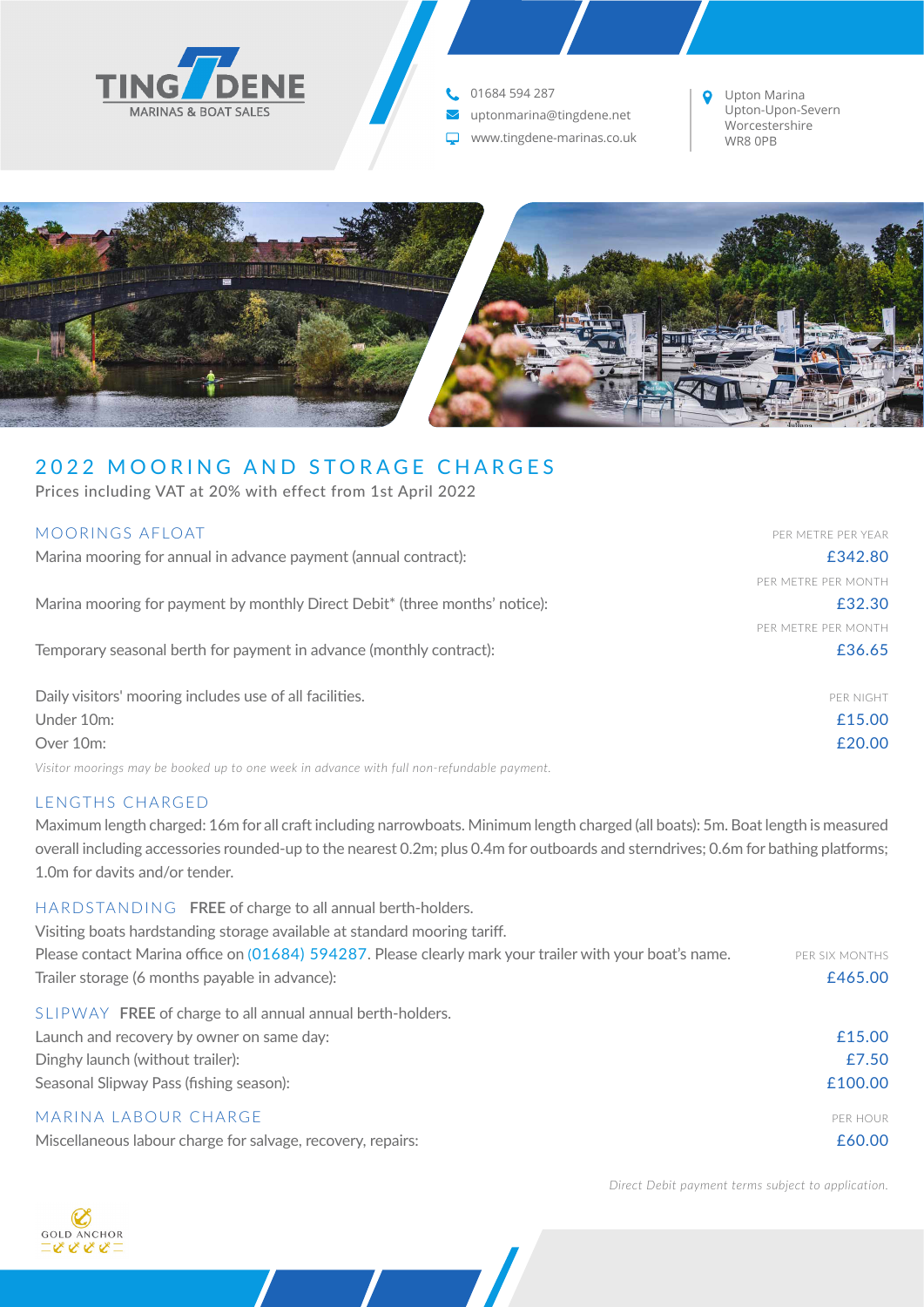

01684 594 287

- vuptonmarina@tingdene.net
- www.tingdene-marinas.co.uk

Upton Marina  $\bullet$ Upton-Upon-Severn Worcestershire WR8 0PB



# 2022 MOORING AND STORAGE CHARGES

Prices including VAT at 20% with effect from 1st April 2022

| MOORINGS AFLOAT                                                             | PER METRE PER YEAR  |
|-----------------------------------------------------------------------------|---------------------|
| Marina mooring for annual in advance payment (annual contract):             | £342.80             |
|                                                                             | PER METRE PER MONTH |
| Marina mooring for payment by monthly Direct Debit* (three months' notice): | £32.30              |
|                                                                             | PER METRE PER MONTH |
| Temporary seasonal berth for payment in advance (monthly contract):         | £36.65              |
|                                                                             |                     |
| Daily visitors' mooring includes use of all facilities.                     | PER NIGHT           |
| Under 10m:                                                                  | £15.00              |
| Over 10m:                                                                   | £20.00              |

*Visitor moorings may be booked up to one week in advance with full non-refundable payment.*

## LENGTHS CHARGED

**GOLD ANCHOR** てきときこ

Maximum length charged: 16m for all craft including narrowboats. Minimum length charged (all boats): 5m. Boat length is measured overall including accessories rounded-up to the nearest 0.2m; plus 0.4m for outboards and sterndrives; 0.6m for bathing platforms; 1.0m for davits and/or tender.

| HARDSTANDING FREE of charge to all annual berth-holders.                                                |                |
|---------------------------------------------------------------------------------------------------------|----------------|
| Visiting boats hardstanding storage available at standard mooring tariff.                               |                |
| Please contact Marina office on (01684) 594287. Please clearly mark your trailer with your boat's name. | PER SIX MONTHS |
| Trailer storage (6 months payable in advance):                                                          | £465.00        |
| SLIPWAY FREE of charge to all annual annual berth-holders.                                              |                |
| Launch and recovery by owner on same day:                                                               | £15.00         |
| Dinghy launch (without trailer):                                                                        | £7.50          |
| Seasonal Slipway Pass (fishing season):                                                                 | £100.00        |
| MARINA LABOUR CHARGE                                                                                    | PER HOUR       |
| Miscellaneous labour charge for salvage, recovery, repairs:                                             | £60.00         |

*Direct Debit payment terms subject to application.*